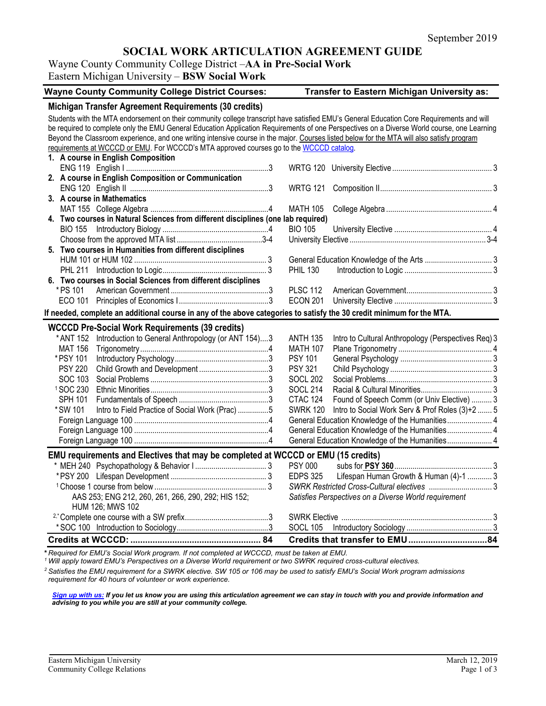# **SOCIAL WORK ARTICULATION AGREEMENT GUIDE**

# Wayne County Community College District –**AA in Pre-Social Work**

Eastern Michigan University – **BSW Social Work**

| <b>Wayne County Community College District Courses:</b>                                                                                     |  | Transfer to Eastern Michigan University as: |                                                       |  |  |
|---------------------------------------------------------------------------------------------------------------------------------------------|--|---------------------------------------------|-------------------------------------------------------|--|--|
| Michigan Transfer Agreement Requirements (30 credits)                                                                                       |  |                                             |                                                       |  |  |
| Students with the MTA endorsement on their community college transcript have satisfied EMU's General Education Core Requirements and will   |  |                                             |                                                       |  |  |
| be required to complete only the EMU General Education Application Requirements of one Perspectives on a Diverse World course, one Learning |  |                                             |                                                       |  |  |
| Beyond the Classroom experience, and one writing intensive course in the major. Courses listed below for the MTA will also satisfy program  |  |                                             |                                                       |  |  |
| requirements at WCCCD or EMU. For WCCCD's MTA approved courses go to the WCCCD catalog.                                                     |  |                                             |                                                       |  |  |
| 1. A course in English Composition                                                                                                          |  |                                             |                                                       |  |  |
|                                                                                                                                             |  |                                             |                                                       |  |  |
| 2. A course in English Composition or Communication                                                                                         |  |                                             |                                                       |  |  |
|                                                                                                                                             |  | <b>WRTG 121</b>                             |                                                       |  |  |
| 3. A course in Mathematics                                                                                                                  |  |                                             |                                                       |  |  |
|                                                                                                                                             |  | <b>MATH 105</b>                             |                                                       |  |  |
| 4. Two courses in Natural Sciences from different disciplines (one lab required)                                                            |  |                                             |                                                       |  |  |
|                                                                                                                                             |  | <b>BIO 105</b>                              |                                                       |  |  |
|                                                                                                                                             |  |                                             |                                                       |  |  |
| 5. Two courses in Humanities from different disciplines                                                                                     |  |                                             |                                                       |  |  |
|                                                                                                                                             |  |                                             |                                                       |  |  |
|                                                                                                                                             |  | <b>PHIL 130</b>                             |                                                       |  |  |
| 6. Two courses in Social Sciences from different disciplines                                                                                |  |                                             |                                                       |  |  |
| * PS 101                                                                                                                                    |  | <b>PLSC 112</b>                             |                                                       |  |  |
|                                                                                                                                             |  | <b>ECON 201</b>                             |                                                       |  |  |
| If needed, complete an additional course in any of the above categories to satisfy the 30 credit minimum for the MTA.                       |  |                                             |                                                       |  |  |
| <b>WCCCD Pre-Social Work Requirements (39 credits)</b>                                                                                      |  |                                             |                                                       |  |  |
| * ANT 152 Introduction to General Anthropology (or ANT 154)3                                                                                |  | <b>ANTH 135</b>                             | Intro to Cultural Anthropology (Perspectives Req) 3   |  |  |
| MAT 156                                                                                                                                     |  | <b>MATH 107</b>                             |                                                       |  |  |
| *PSY 101                                                                                                                                    |  | <b>PSY 101</b>                              |                                                       |  |  |
| <b>PSY 220</b>                                                                                                                              |  | <b>PSY 321</b>                              |                                                       |  |  |
| SOC 103                                                                                                                                     |  | <b>SOCL 202</b>                             |                                                       |  |  |
| <sup>1</sup> SOC 230                                                                                                                        |  | <b>SOCL 214</b>                             |                                                       |  |  |
| SPH 101                                                                                                                                     |  | CTAC 124                                    | Found of Speech Comm (or Univ Elective)  3            |  |  |
| * SW 101<br>Intro to Field Practice of Social Work (Prac) 5                                                                                 |  | <b>SWRK 120</b>                             | Intro to Social Work Serv & Prof Roles (3)+2  5       |  |  |
|                                                                                                                                             |  |                                             | General Education Knowledge of the Humanities 4       |  |  |
|                                                                                                                                             |  |                                             |                                                       |  |  |
|                                                                                                                                             |  |                                             | General Education Knowledge of the Humanities 4       |  |  |
| EMU requirements and Electives that may be completed at WCCCD or EMU (15 credits)                                                           |  |                                             |                                                       |  |  |
|                                                                                                                                             |  | <b>PSY 000</b>                              |                                                       |  |  |
|                                                                                                                                             |  | <b>EDPS 325</b>                             | Lifespan Human Growth & Human (4)-1  3                |  |  |
|                                                                                                                                             |  |                                             |                                                       |  |  |
| AAS 253; ENG 212, 260, 261, 266, 290, 292; HIS 152;                                                                                         |  |                                             | Satisfies Perspectives on a Diverse World requirement |  |  |
| HUM 126; MWS 102                                                                                                                            |  |                                             |                                                       |  |  |
|                                                                                                                                             |  |                                             |                                                       |  |  |
|                                                                                                                                             |  | <b>SOCL 105</b>                             |                                                       |  |  |
|                                                                                                                                             |  |                                             |                                                       |  |  |

**\*** *Required for EMU's Social Work program. If not completed at WCCCD, must be taken at EMU.*

*<sup>1</sup> Will apply toward EMU's Perspectives on a Diverse World requirement or two SWRK required cross-cultural electives.* 

*<sup>2</sup> Satisfies the EMU requirement for a SWRK elective. SW 105 or 106 may be used to satisfy EMU's Social Work program admissions requirement for 40 hours of volunteer or work experience.*

*[Sign up with us:](https://www.emich.edu/ccr/articulation-agreements/signup.php) If you let us know you are using this articulation agreement we can stay in touch with you and provide information and advising to you while you are still at your community college.*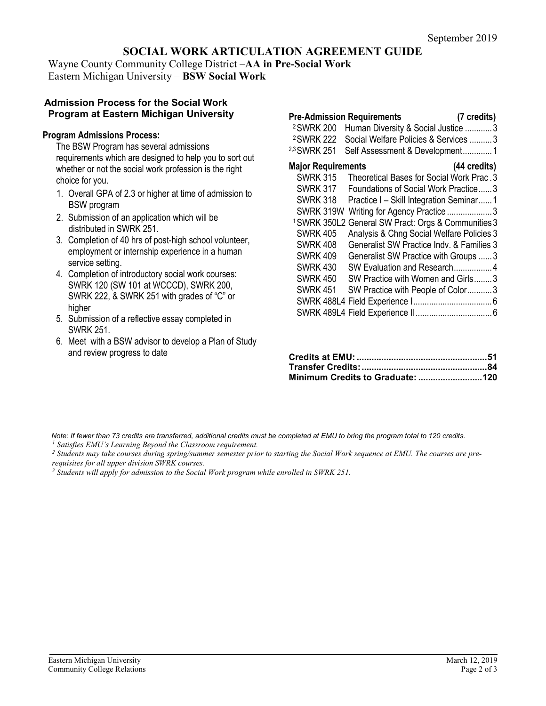# **SOCIAL WORK ARTICULATION AGREEMENT GUIDE**

Wayne County Community College District –**AA in Pre-Social Work** Eastern Michigan University – **BSW Social Work**

#### **Admission Process for the Social Work Program at Eastern Michigan University**

#### **Program Admissions Process:**

The BSW Program has several admissions requirements which are designed to help you to sort out whether or not the social work profession is the right choice for you.

- 1. Overall GPA of 2.3 or higher at time of admission to BSW program
- 2. Submission of an application which will be distributed in SWRK 251.
- 3. Completion of 40 hrs of post-high school volunteer, employment or internship experience in a human service setting.
- 4. Completion of introductory social work courses: SWRK 120 (SW 101 at WCCCD), SWRK 200, SWRK 222, & SWRK 251 with grades of "C" or higher
- 5. Submission of a reflective essay completed in SWRK 251.
- 6. Meet with a BSW advisor to develop a Plan of Study and review progress to date

| <b>Pre-Admission Requirements</b><br><sup>2</sup> SWRK 200<br><sup>2</sup> SWRK 222<br>2,3 SWRK 251 | Human Diversity & Social Justice 3<br>Social Welfare Policies & Services  3<br>Self Assessment & Development1 | (7 credits) |
|-----------------------------------------------------------------------------------------------------|---------------------------------------------------------------------------------------------------------------|-------------|
| <b>Major Requirements</b>                                                                           | (44 credits)                                                                                                  |             |
| <b>SWRK 315</b>                                                                                     | Theoretical Bases for Social Work Prac. 3                                                                     |             |
| <b>SWRK 317</b>                                                                                     | Foundations of Social Work Practice3                                                                          |             |
| <b>SWRK 318</b>                                                                                     | Practice I – Skill Integration Seminar1                                                                       |             |
| SWRK 319W                                                                                           | Writing for Agency Practice  3                                                                                |             |
|                                                                                                     | <sup>1</sup> SWRK 350L2 General SW Pract: Orgs & Communities 3                                                |             |
| <b>SWRK 405</b>                                                                                     | Analysis & Chng Social Welfare Policies 3                                                                     |             |
| <b>SWRK 408</b>                                                                                     | Generalist SW Practice Indv. & Families 3                                                                     |             |
| <b>SWRK 409</b>                                                                                     | Generalist SW Practice with Groups  3                                                                         |             |
| <b>SWRK 430</b>                                                                                     | SW Evaluation and Research4                                                                                   |             |
| <b>SWRK 450</b>                                                                                     | SW Practice with Women and Girls3                                                                             |             |
| <b>SWRK 451</b>                                                                                     | SW Practice with People of Color3                                                                             |             |
|                                                                                                     |                                                                                                               |             |
|                                                                                                     |                                                                                                               |             |

*Note: If fewer than 73 credits are transferred, additional credits must be completed at EMU to bring the program total to 120 credits. <sup>1</sup> Satisfies EMU's Learning Beyond the Classroom requirement.*

*<sup>2</sup> Students may take courses during spring/summer semester prior to starting the Social Work sequence at EMU. The courses are prerequisites for all upper division SWRK courses.* 

*<sup>3</sup> Students will apply for admission to the Social Work program while enrolled in SWRK 251.*